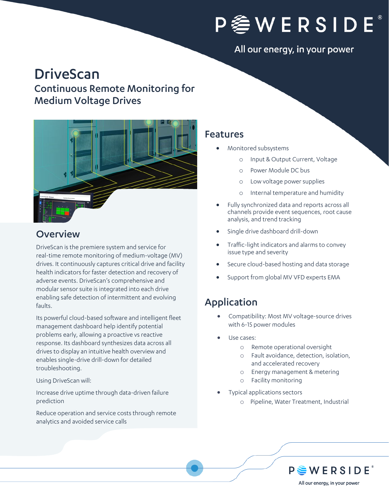

#### All our energy, in your power

# DriveScan

### Continuous Remote Monitoring for Medium Voltage Drives



### **Overview**

DriveScan is the premiere system and service for real-time remote monitoring of medium-voltage (MV) drives. It continuously captures critical drive and facility health indicators for faster detection and recovery of adverse events. DriveScan's comprehensive and modular sensor suite is integrated into each drive enabling safe detection of intermittent and evolving faults.

Its powerful cloud-based software and intelligent fleet management dashboard help identify potential problems early, allowing a proactive vs reactive response. Its dashboard synthesizes data across all drives to display an intuitive health overview and enables single-drive drill-down for detailed troubleshooting.

Using DriveScan will:

Increase drive uptime through data-driven failure prediction

Reduce operation and service costs through remote analytics and avoided service calls

#### Features

- Monitored subsystems
	- o Input & Output Current, Voltage
	- o Power Module DC bus
	- o Low voltage power supplies
	- o Internal temperature and humidity
- Fully synchronized data and reports across all channels provide event sequences, root cause analysis, and trend tracking
- Single drive dashboard drill-down
- Traffic-light indicators and alarms to convey issue type and severity
- Secure cloud-based hosting and data storage
- Support from global MV VFD experts EMA

### Application

- Compatibility: Most MV voltage-source drives with 6-15 power modules
- Use cases:
	- o Remote operational oversight
	- o Fault avoidance, detection, isolation, and accelerated recovery
	- o Energy management & metering
	- o Facility monitoring
- Typical applications sectors
	- o Pipeline, Water Treatment, Industrial

 $P \triangleq W E R S I D E^*$ All our energy, in your power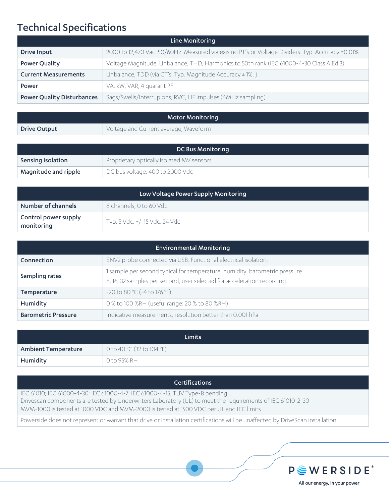### Technical Specifications

| Line Monitoring                   |                                                                                                  |  |
|-----------------------------------|--------------------------------------------------------------------------------------------------|--|
| Drive Input                       | 2000 to 12,470 Vac. 50/60Hz. Measured via exis ng PT's or Voltage Dividers. Typ. Accuracy ±0.01% |  |
| <b>Power Quality</b>              | Voltage Magnitude, Unbalance, THD, Harmonics to 50th rank (IEC 61000-4-30 Class A Ed 3)          |  |
| <b>Current Measurements</b>       | Unbalance, TDD (via CT's. Typ. Magnitude Accuracy ± 1%.)                                         |  |
| Power                             | VA, kW, VAR, 4 quarant PF                                                                        |  |
| <b>Power Quality Disturbances</b> | Sags/Swells/Interrup ons, RVC, HF impulses (4MHz sampling)                                       |  |

| <b>Motor Monitoring</b> |                                       |
|-------------------------|---------------------------------------|
| <b>Drive Output</b>     | Voltage and Current average, Waveform |

| DC Bus Monitoring    |                                           |
|----------------------|-------------------------------------------|
| Sensing isolation    | Proprietary optically isolated MV sensors |
| Magnitude and ripple | DC bus voltage: 400 to 2000 Vdc           |

| Low Voltage Power Supply Monitoring |                               |  |
|-------------------------------------|-------------------------------|--|
| Number of channels                  | 8 channels, 0 to 60 Vdc       |  |
| Control power supply<br>monitoring  | Typ. 5 Vdc, +/-15 Vdc, 24 Vdc |  |

| <b>Environmental Monitoring</b> |                                                                                                                                                        |  |
|---------------------------------|--------------------------------------------------------------------------------------------------------------------------------------------------------|--|
| Connection                      | ENV2 probe connected via USB. Functional electrical isolation.                                                                                         |  |
| Sampling rates                  | 1 sample per second typical for temperature, humidity, barometric pressure.<br>8, 16, 32 samples per second, user selected for acceleration recording. |  |
| Temperature                     | $-20$ to 80 °C ( $-4$ to 176 °F)                                                                                                                       |  |
| Humidity                        | 0 % to 100 %RH (useful range: 20 % to 80 %RH)                                                                                                          |  |
| <b>Barometric Pressure</b>      | Indicative measurements, resolution better than 0.001 hPa                                                                                              |  |

| <b>Limits</b>              |                                    |  |
|----------------------------|------------------------------------|--|
| <b>Ambient Temperature</b> | $\sqrt{0}$ to 40 °C (32 to 104 °F) |  |
| Humidity                   | 0 to 95% RH                        |  |

#### **Certifications**

IEC 61010; IEC 61000-4-30; IEC 61000-4-7; IEC 61000-4-15; TUV Type-B pending Drivescan components are tested by Underwriters Laboratory (UL) to meet the requirements of IEC 61010-2-30 MVM-1000 is tested at 1000 VDC and MVM-2000 is tested at 1500 VDC per UL and IEC limits

Powerside does not represent or warrant that drive or installation certifications will be unaffected by DriveScan installation



All our energy, in your power